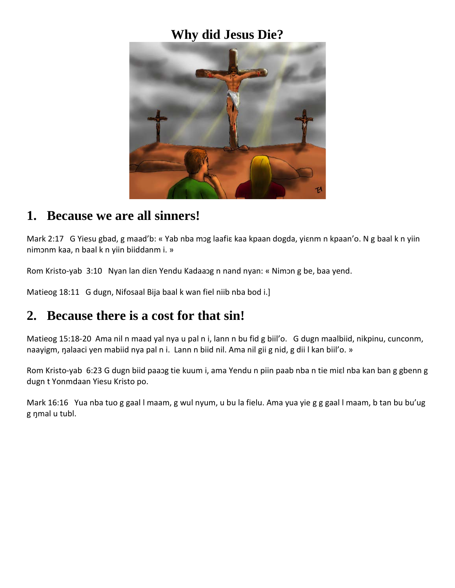#### **Why did Jesus Die?**



#### **1. Because we are all sinners!**

Mark 2:17 G Yiesu gbad, g maad'b: « Yab nba mɔg laafiɛ kaa kpaan dogda, yiɛnm n kpaan'o. N g baal k n yiin nimɔnm kaa, n baal k n yiin biiddanm i. »

Rom Kristo-yab 3:10 Nyan lan diɛn Yendu Kadaaɔg n nand nyan: « Nimɔn g be, baa yend.

Matieog 18:11 G dugn, Nifosaal Bija baal k wan fiel niib nba bod i.]

#### **2. Because there is a cost for that sin!**

Matieog 15:18-20 Ama nil n maad yal nya u pal n i, lann n bu fid g biil'o. G dugn maalbiid, nikpinu, cunconm, naayigm, ŋalaaci yen mabiid nya pal n i. Lann n biid nil. Ama nil gii g nid, g dii l kan biil'o. »

Rom Kristo-yab 6:23 G dugn biid paaɔg tie kuum i, ama Yendu n piin paab nba n tie miɛl nba kan ban g gbenn g dugn t Yonmdaan Yiesu Kristo po.

Mark 16:16 Yua nba tuo g gaal l maam, g wul nyum, u bu la fielu. Ama yua yie g g gaal l maam, b tan bu bu'ug g ŋmal u tubl.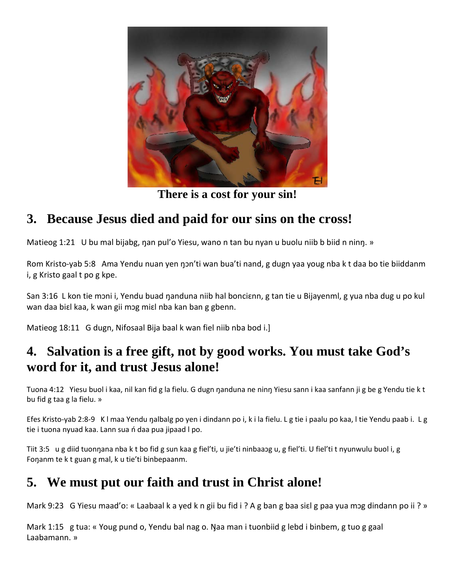

**There is a cost for your sin!**

## **3. Because Jesus died and paid for our sins on the cross!**

Matieog 1:21 U bu mal bijabg, nan pul'o Yiesu, wano n tan bu nyan u buolu niib b biid n ninn. »

Rom Kristo-yab 5:8 Ama Yendu nuan yen ŋɔn'ti wan bua'ti nand, g dugn yaa youg nba k t daa bo tie biiddanm i, g Kristo gaal t po g kpe.

San 3:16 L kon tie mɔni i, Yendu buad ŋanduna niib hal bonciɛnn, g tan tie u Bijayenml, g yua nba dug u po kul wan daa biɛl kaa, k wan gii mɔg miɛl nba kan ban g gbenn.

Matieog 18:11 G dugn, Nifosaal Bija baal k wan fiel niib nba bod i.]

## **4. Salvation is a free gift, not by good works. You must take God's word for it, and trust Jesus alone!**

Tuona 4:12 Yiesu buol i kaa, nil kan fid g la fielu. G dugn ŋanduna ne ninŋ Yiesu sann i kaa sanfann ji g be g Yendu tie k t bu fid g taa g la fielu. »

Efes Kristo-yab 2:8-9 K l maa Yendu ŋalbalg po yen i dindann po i, k i la fielu. L g tie i paalu po kaa, l tie Yendu paab i. L g tie i tuona nyuad kaa. Lann sua ń daa pua jipaad l po.

Tiit 3:5 u g diid tuonŋana nba k t bo fid g sun kaa g fiel'ti, u jie'ti ninbaaɔg u, g fiel'ti. U fiel'ti t nyunwulu buol i, g Foŋanm te k t guan g mal, k u tie'ti binbepaanm.

# **5. We must put our faith and trust in Christ alone!**

Mark 9:23 G Yiesu maad'o: « Laabaal k a yed k n gii bu fid i ? A g ban g baa sial g paa yua mog dindann po ii ? »

Mark 1:15 g tua: « Youg pund o, Yendu bal nag o. Ŋaa man i tuonbiid g lebd i binbem, g tuo g gaal Laabamann. »